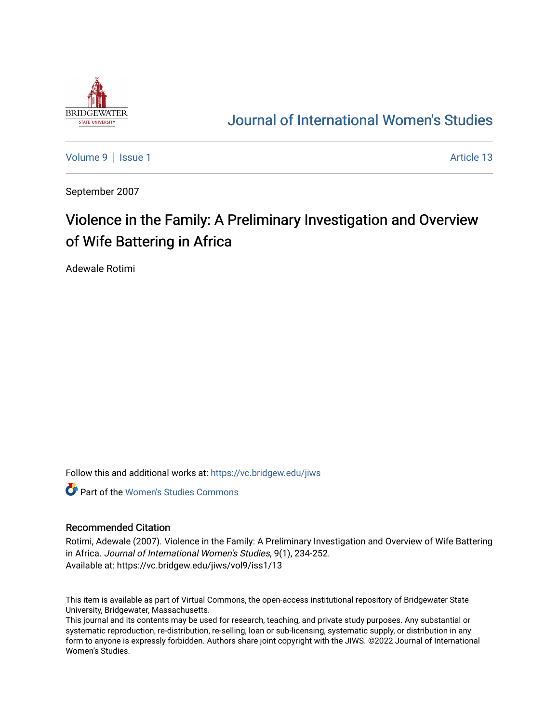

## [Journal of International Women's Studies](https://vc.bridgew.edu/jiws)

[Volume 9](https://vc.bridgew.edu/jiws/vol9) | [Issue 1](https://vc.bridgew.edu/jiws/vol9/iss1) Article 13

September 2007

# Violence in the Family: A Preliminary Investigation and Overview of Wife Battering in Africa

Adewale Rotimi

Follow this and additional works at: [https://vc.bridgew.edu/jiws](https://vc.bridgew.edu/jiws?utm_source=vc.bridgew.edu%2Fjiws%2Fvol9%2Fiss1%2F13&utm_medium=PDF&utm_campaign=PDFCoverPages)

**C** Part of the Women's Studies Commons

#### Recommended Citation

Rotimi, Adewale (2007). Violence in the Family: A Preliminary Investigation and Overview of Wife Battering in Africa. Journal of International Women's Studies, 9(1), 234-252. Available at: https://vc.bridgew.edu/jiws/vol9/iss1/13

This item is available as part of Virtual Commons, the open-access institutional repository of Bridgewater State University, Bridgewater, Massachusetts.

This journal and its contents may be used for research, teaching, and private study purposes. Any substantial or systematic reproduction, re-distribution, re-selling, loan or sub-licensing, systematic supply, or distribution in any form to anyone is expressly forbidden. Authors share joint copyright with the JIWS. ©2022 Journal of International Women's Studies.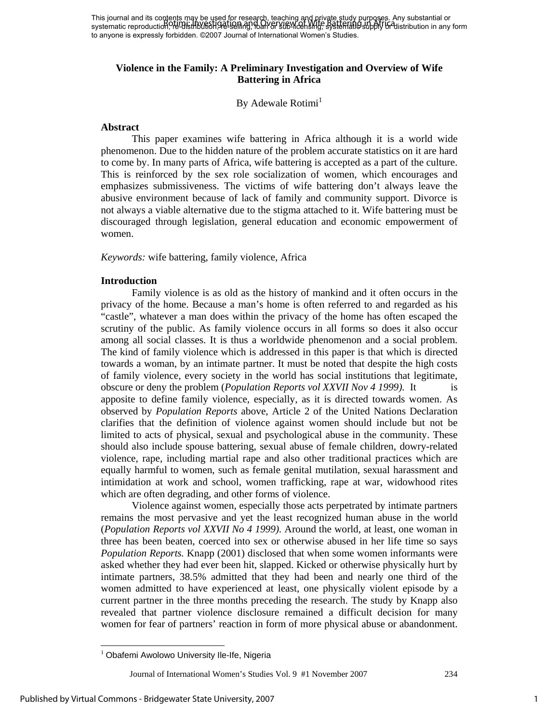This journal and its contents may be used for research, teaching and private study purposes. Any substantial or This journal and his competition, we distribute the selling of Wife Battering, and product in any substantial or to anyone is expressly forbidden. ©2007 Journal of International Women's Studies.

## **Violence in the Family: A Preliminary Investigation and Overview of Wife Battering in Africa**

## By Adewale Rotimi<sup>1</sup>

#### **Abstract**

 This paper examines wife battering in Africa although it is a world wide phenomenon. Due to the hidden nature of the problem accurate statistics on it are hard to come by. In many parts of Africa, wife battering is accepted as a part of the culture. This is reinforced by the sex role socialization of women, which encourages and emphasizes submissiveness. The victims of wife battering don't always leave the abusive environment because of lack of family and community support. Divorce is not always a viable alternative due to the stigma attached to it. Wife battering must be discouraged through legislation, general education and economic empowerment of women.

*Keywords:* wife battering, family violence, Africa

#### **Introduction**

 Family violence is as old as the history of mankind and it often occurs in the privacy of the home. Because a man's home is often referred to and regarded as his "castle", whatever a man does within the privacy of the home has often escaped the scrutiny of the public. As family violence occurs in all forms so does it also occur among all social classes. It is thus a worldwide phenomenon and a social problem. The kind of family violence which is addressed in this paper is that which is directed towards a woman, by an intimate partner. It must be noted that despite the high costs of family violence, every society in the world has social institutions that legitimate, obscure or deny the problem (*Population Reports vol XXVII Nov 4 1999).* It is apposite to define family violence, especially, as it is directed towards women. As observed by *Population Reports* above, Article 2 of the United Nations Declaration clarifies that the definition of violence against women should include but not be limited to acts of physical, sexual and psychological abuse in the community. These should also include spouse battering, sexual abuse of female children, dowry-related violence, rape, including martial rape and also other traditional practices which are equally harmful to women, such as female genital mutilation, sexual harassment and intimidation at work and school, women trafficking, rape at war, widowhood rites which are often degrading, and other forms of violence.

Violence against women, especially those acts perpetrated by intimate partners remains the most pervasive and yet the least recognized human abuse in the world (*Population Reports vol XXVII No 4 1999).* Around the world, at least, one woman in three has been beaten, coerced into sex or otherwise abused in her life time so says *Population Reports.* Knapp (2001) disclosed that when some women informants were asked whether they had ever been hit, slapped. Kicked or otherwise physically hurt by intimate partners, 38.5% admitted that they had been and nearly one third of the women admitted to have experienced at least, one physically violent episode by a current partner in the three months preceding the research. The study by Knapp also revealed that partner violence disclosure remained a difficult decision for many women for fear of partners' reaction in form of more physical abuse or abandonment.

 $\overline{a}$ 

<sup>&</sup>lt;sup>1</sup> Obafemi Awolowo University Ile-Ife, Nigeria

Journal of International Women's Studies Vol. 9 #1 November 2007 234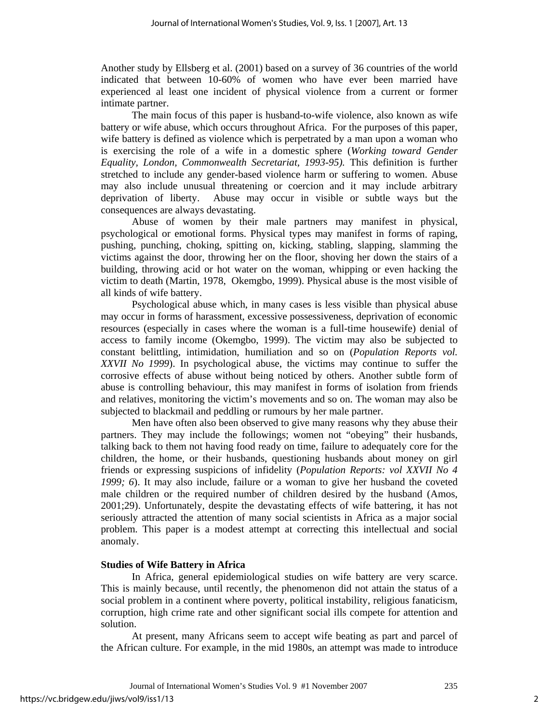Another study by Ellsberg et al. (2001) based on a survey of 36 countries of the world indicated that between 10-60% of women who have ever been married have experienced al least one incident of physical violence from a current or former intimate partner.

The main focus of this paper is husband-to-wife violence, also known as wife battery or wife abuse, which occurs throughout Africa. For the purposes of this paper, wife battery is defined as violence which is perpetrated by a man upon a woman who is exercising the role of a wife in a domestic sphere (*Working toward Gender Equality, London, Commonwealth Secretariat, 1993-95).* This definition is further stretched to include any gender-based violence harm or suffering to women. Abuse may also include unusual threatening or coercion and it may include arbitrary deprivation of liberty. Abuse may occur in visible or subtle ways but the consequences are always devastating.

Abuse of women by their male partners may manifest in physical, psychological or emotional forms. Physical types may manifest in forms of raping, pushing, punching, choking, spitting on, kicking, stabling, slapping, slamming the victims against the door, throwing her on the floor, shoving her down the stairs of a building, throwing acid or hot water on the woman, whipping or even hacking the victim to death (Martin, 1978, Okemgbo, 1999). Physical abuse is the most visible of all kinds of wife battery.

Psychological abuse which, in many cases is less visible than physical abuse may occur in forms of harassment, excessive possessiveness, deprivation of economic resources (especially in cases where the woman is a full-time housewife) denial of access to family income (Okemgbo, 1999). The victim may also be subjected to constant belittling, intimidation, humiliation and so on (*Population Reports vol. XXVII No 1999*). In psychological abuse, the victims may continue to suffer the corrosive effects of abuse without being noticed by others. Another subtle form of abuse is controlling behaviour, this may manifest in forms of isolation from friends and relatives, monitoring the victim's movements and so on. The woman may also be subjected to blackmail and peddling or rumours by her male partner.

Men have often also been observed to give many reasons why they abuse their partners. They may include the followings; women not "obeying" their husbands, talking back to them not having food ready on time, failure to adequately core for the children, the home, or their husbands, questioning husbands about money on girl friends or expressing suspicions of infidelity (*Population Reports: vol XXVII No 4 1999; 6*). It may also include, failure or a woman to give her husband the coveted male children or the required number of children desired by the husband (Amos, 2001;29). Unfortunately, despite the devastating effects of wife battering, it has not seriously attracted the attention of many social scientists in Africa as a major social problem. This paper is a modest attempt at correcting this intellectual and social anomaly.

#### **Studies of Wife Battery in Africa**

 In Africa, general epidemiological studies on wife battery are very scarce. This is mainly because, until recently, the phenomenon did not attain the status of a social problem in a continent where poverty, political instability, religious fanaticism, corruption, high crime rate and other significant social ills compete for attention and solution.

 At present, many Africans seem to accept wife beating as part and parcel of the African culture. For example, in the mid 1980s, an attempt was made to introduce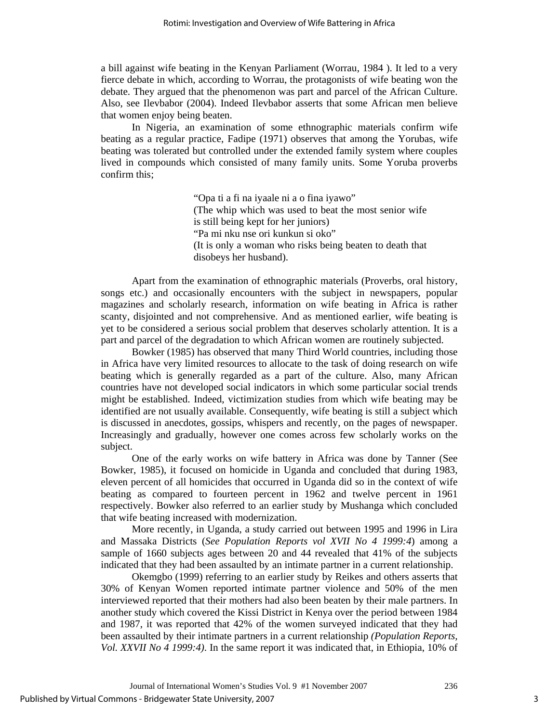a bill against wife beating in the Kenyan Parliament (Worrau, 1984 ). It led to a very fierce debate in which, according to Worrau, the protagonists of wife beating won the debate. They argued that the phenomenon was part and parcel of the African Culture. Also, see Ilevbabor (2004). Indeed Ilevbabor asserts that some African men believe that women enjoy being beaten.

 In Nigeria, an examination of some ethnographic materials confirm wife beating as a regular practice, Fadipe (1971) observes that among the Yorubas, wife beating was tolerated but controlled under the extended family system where couples lived in compounds which consisted of many family units. Some Yoruba proverbs confirm this;

> "Opa ti a fi na iyaale ni a o fina iyawo" (The whip which was used to beat the most senior wife is still being kept for her juniors) "Pa mi nku nse ori kunkun si oko" (It is only a woman who risks being beaten to death that disobeys her husband).

 Apart from the examination of ethnographic materials (Proverbs, oral history, songs etc.) and occasionally encounters with the subject in newspapers, popular magazines and scholarly research, information on wife beating in Africa is rather scanty, disjointed and not comprehensive. And as mentioned earlier, wife beating is yet to be considered a serious social problem that deserves scholarly attention. It is a part and parcel of the degradation to which African women are routinely subjected.

 Bowker (1985) has observed that many Third World countries, including those in Africa have very limited resources to allocate to the task of doing research on wife beating which is generally regarded as a part of the culture. Also, many African countries have not developed social indicators in which some particular social trends might be established. Indeed, victimization studies from which wife beating may be identified are not usually available. Consequently, wife beating is still a subject which is discussed in anecdotes, gossips, whispers and recently, on the pages of newspaper. Increasingly and gradually, however one comes across few scholarly works on the subject.

 One of the early works on wife battery in Africa was done by Tanner (See Bowker, 1985), it focused on homicide in Uganda and concluded that during 1983, eleven percent of all homicides that occurred in Uganda did so in the context of wife beating as compared to fourteen percent in 1962 and twelve percent in 1961 respectively. Bowker also referred to an earlier study by Mushanga which concluded that wife beating increased with modernization.

 More recently, in Uganda, a study carried out between 1995 and 1996 in Lira and Massaka Districts (*See Population Reports vol XVII No 4 1999:4*) among a sample of 1660 subjects ages between 20 and 44 revealed that 41% of the subjects indicated that they had been assaulted by an intimate partner in a current relationship.

 Okemgbo (1999) referring to an earlier study by Reikes and others asserts that 30% of Kenyan Women reported intimate partner violence and 50% of the men interviewed reported that their mothers had also been beaten by their male partners. In another study which covered the Kissi District in Kenya over the period between 1984 and 1987, it was reported that 42% of the women surveyed indicated that they had been assaulted by their intimate partners in a current relationship *(Population Reports, Vol. XXVII No 4 1999:4)*. In the same report it was indicated that, in Ethiopia, 10% of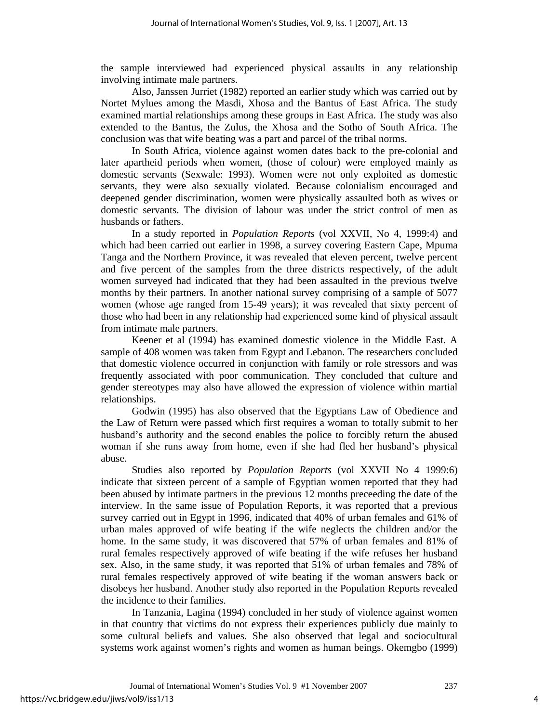the sample interviewed had experienced physical assaults in any relationship involving intimate male partners.

 Also, Janssen Jurriet (1982) reported an earlier study which was carried out by Nortet Mylues among the Masdi, Xhosa and the Bantus of East Africa. The study examined martial relationships among these groups in East Africa. The study was also extended to the Bantus, the Zulus, the Xhosa and the Sotho of South Africa. The conclusion was that wife beating was a part and parcel of the tribal norms.

In South Africa, violence against women dates back to the pre-colonial and later apartheid periods when women, (those of colour) were employed mainly as domestic servants (Sexwale: 1993). Women were not only exploited as domestic servants, they were also sexually violated. Because colonialism encouraged and deepened gender discrimination, women were physically assaulted both as wives or domestic servants. The division of labour was under the strict control of men as husbands or fathers.

 In a study reported in *Population Reports* (vol XXVII, No 4, 1999:4) and which had been carried out earlier in 1998, a survey covering Eastern Cape, Mpuma Tanga and the Northern Province, it was revealed that eleven percent, twelve percent and five percent of the samples from the three districts respectively, of the adult women surveyed had indicated that they had been assaulted in the previous twelve months by their partners. In another national survey comprising of a sample of 5077 women (whose age ranged from 15-49 years); it was revealed that sixty percent of those who had been in any relationship had experienced some kind of physical assault from intimate male partners.

Keener et al (1994) has examined domestic violence in the Middle East. A sample of 408 women was taken from Egypt and Lebanon. The researchers concluded that domestic violence occurred in conjunction with family or role stressors and was frequently associated with poor communication. They concluded that culture and gender stereotypes may also have allowed the expression of violence within martial relationships.

Godwin (1995) has also observed that the Egyptians Law of Obedience and the Law of Return were passed which first requires a woman to totally submit to her husband's authority and the second enables the police to forcibly return the abused woman if she runs away from home, even if she had fled her husband's physical abuse.

Studies also reported by *Population Reports* (vol XXVII No 4 1999:6) indicate that sixteen percent of a sample of Egyptian women reported that they had been abused by intimate partners in the previous 12 months preceeding the date of the interview. In the same issue of Population Reports, it was reported that a previous survey carried out in Egypt in 1996, indicated that 40% of urban females and 61% of urban males approved of wife beating if the wife neglects the children and/or the home. In the same study, it was discovered that 57% of urban females and 81% of rural females respectively approved of wife beating if the wife refuses her husband sex. Also, in the same study, it was reported that 51% of urban females and 78% of rural females respectively approved of wife beating if the woman answers back or disobeys her husband. Another study also reported in the Population Reports revealed the incidence to their families.

In Tanzania, Lagina (1994) concluded in her study of violence against women in that country that victims do not express their experiences publicly due mainly to some cultural beliefs and values. She also observed that legal and sociocultural systems work against women's rights and women as human beings. Okemgbo (1999)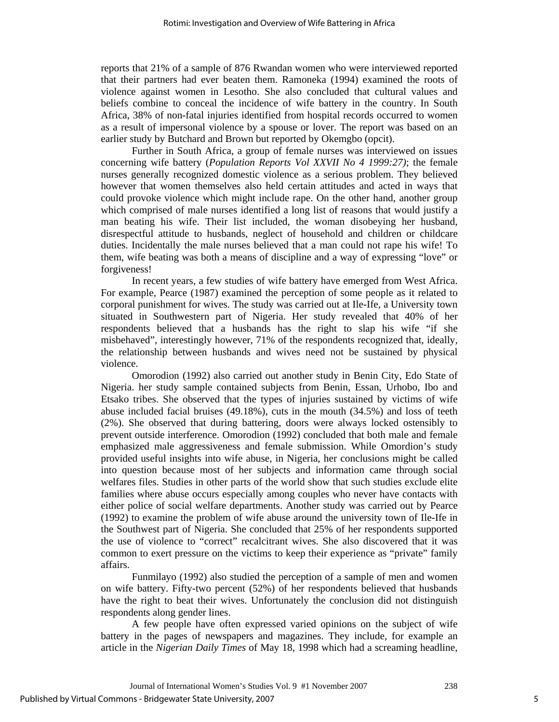reports that 21% of a sample of 876 Rwandan women who were interviewed reported that their partners had ever beaten them. Ramoneka (1994) examined the roots of violence against women in Lesotho. She also concluded that cultural values and beliefs combine to conceal the incidence of wife battery in the country. In South Africa, 38% of non-fatal injuries identified from hospital records occurred to women as a result of impersonal violence by a spouse or lover. The report was based on an earlier study by Butchard and Brown but reported by Okemgbo (opcit).

Further in South Africa, a group of female nurses was interviewed on issues concerning wife battery (*Population Reports Vol XXVII No 4 1999:27)*; the female nurses generally recognized domestic violence as a serious problem. They believed however that women themselves also held certain attitudes and acted in ways that could provoke violence which might include rape. On the other hand, another group which comprised of male nurses identified a long list of reasons that would justify a man beating his wife. Their list included, the woman disobeying her husband, disrespectful attitude to husbands, neglect of household and children or childcare duties. Incidentally the male nurses believed that a man could not rape his wife! To them, wife beating was both a means of discipline and a way of expressing "love" or forgiveness!

In recent years, a few studies of wife battery have emerged from West Africa. For example, Pearce (1987) examined the perception of some people as it related to corporal punishment for wives. The study was carried out at Ile-Ife, a University town situated in Southwestern part of Nigeria. Her study revealed that 40% of her respondents believed that a husbands has the right to slap his wife "if she misbehaved", interestingly however, 71% of the respondents recognized that, ideally, the relationship between husbands and wives need not be sustained by physical violence.

Omorodion (1992) also carried out another study in Benin City, Edo State of Nigeria. her study sample contained subjects from Benin, Essan, Urhobo, Ibo and Etsako tribes. She observed that the types of injuries sustained by victims of wife abuse included facial bruises (49.18%), cuts in the mouth (34.5%) and loss of teeth (2%). She observed that during battering, doors were always locked ostensibly to prevent outside interference. Omorodion (1992) concluded that both male and female emphasized male aggressiveness and female submission. While Omordion's study provided useful insights into wife abuse, in Nigeria, her conclusions might be called into question because most of her subjects and information came through social welfares files. Studies in other parts of the world show that such studies exclude elite families where abuse occurs especially among couples who never have contacts with either police of social welfare departments. Another study was carried out by Pearce (1992) to examine the problem of wife abuse around the university town of Ile-Ife in the Southwest part of Nigeria. She concluded that 25% of her respondents supported the use of violence to "correct" recalcitrant wives. She also discovered that it was common to exert pressure on the victims to keep their experience as "private" family affairs.

Funmilayo (1992) also studied the perception of a sample of men and women on wife battery. Fifty-two percent (52%) of her respondents believed that husbands have the right to beat their wives. Unfortunately the conclusion did not distinguish respondents along gender lines.

A few people have often expressed varied opinions on the subject of wife battery in the pages of newspapers and magazines. They include, for example an article in the *Nigerian Daily Times* of May 18, 1998 which had a screaming headline,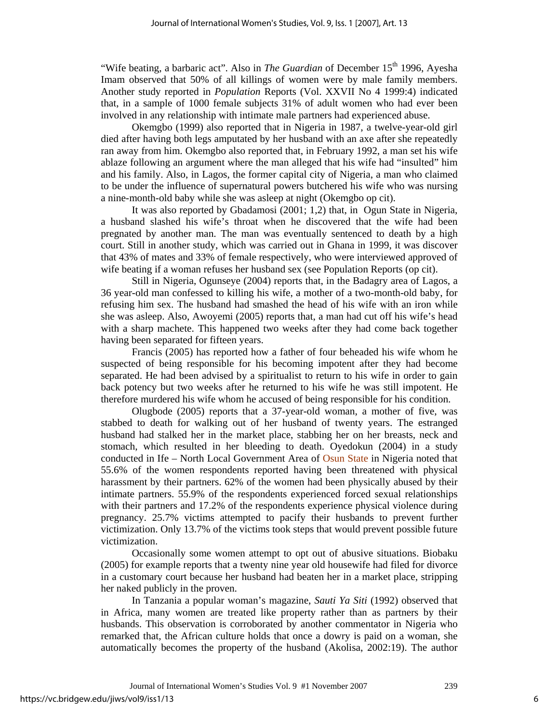"Wife beating, a barbaric act". Also in *The Guardian* of December 15<sup>th</sup> 1996, Ayesha Imam observed that 50% of all killings of women were by male family members. Another study reported in *Population* Reports (Vol. XXVII No 4 1999:4) indicated that, in a sample of 1000 female subjects 31% of adult women who had ever been involved in any relationship with intimate male partners had experienced abuse.

Okemgbo (1999) also reported that in Nigeria in 1987, a twelve-year-old girl died after having both legs amputated by her husband with an axe after she repeatedly ran away from him. Okemgbo also reported that, in February 1992, a man set his wife ablaze following an argument where the man alleged that his wife had "insulted" him and his family. Also, in Lagos, the former capital city of Nigeria, a man who claimed to be under the influence of supernatural powers butchered his wife who was nursing a nine-month-old baby while she was asleep at night (Okemgbo op cit).

It was also reported by Gbadamosi (2001; 1,2) that, in Ogun State in Nigeria, a husband slashed his wife's throat when he discovered that the wife had been pregnated by another man. The man was eventually sentenced to death by a high court. Still in another study, which was carried out in Ghana in 1999, it was discover that 43% of mates and 33% of female respectively, who were interviewed approved of wife beating if a woman refuses her husband sex (see Population Reports (op cit).

Still in Nigeria, Ogunseye (2004) reports that, in the Badagry area of Lagos, a 36 year-old man confessed to killing his wife, a mother of a two-month-old baby, for refusing him sex. The husband had smashed the head of his wife with an iron while she was asleep. Also, Awoyemi (2005) reports that, a man had cut off his wife's head with a sharp machete. This happened two weeks after they had come back together having been separated for fifteen years.

Francis (2005) has reported how a father of four beheaded his wife whom he suspected of being responsible for his becoming impotent after they had become separated. He had been advised by a spiritualist to return to his wife in order to gain back potency but two weeks after he returned to his wife he was still impotent. He therefore murdered his wife whom he accused of being responsible for his condition.

Olugbode (2005) reports that a 37-year-old woman, a mother of five, was stabbed to death for walking out of her husband of twenty years. The estranged husband had stalked her in the market place, stabbing her on her breasts, neck and stomach, which resulted in her bleeding to death. Oyedokun (2004) in a study conducted in Ife – North Local Government Area of Osun State in Nigeria noted that 55.6% of the women respondents reported having been threatened with physical harassment by their partners. 62% of the women had been physically abused by their intimate partners. 55.9% of the respondents experienced forced sexual relationships with their partners and 17.2% of the respondents experience physical violence during pregnancy. 25.7% victims attempted to pacify their husbands to prevent further victimization. Only 13.7% of the victims took steps that would prevent possible future victimization.

Occasionally some women attempt to opt out of abusive situations. Biobaku (2005) for example reports that a twenty nine year old housewife had filed for divorce in a customary court because her husband had beaten her in a market place, stripping her naked publicly in the proven.

In Tanzania a popular woman's magazine, *Sauti Ya Siti* (1992) observed that in Africa, many women are treated like property rather than as partners by their husbands. This observation is corroborated by another commentator in Nigeria who remarked that, the African culture holds that once a dowry is paid on a woman, she automatically becomes the property of the husband (Akolisa, 2002:19). The author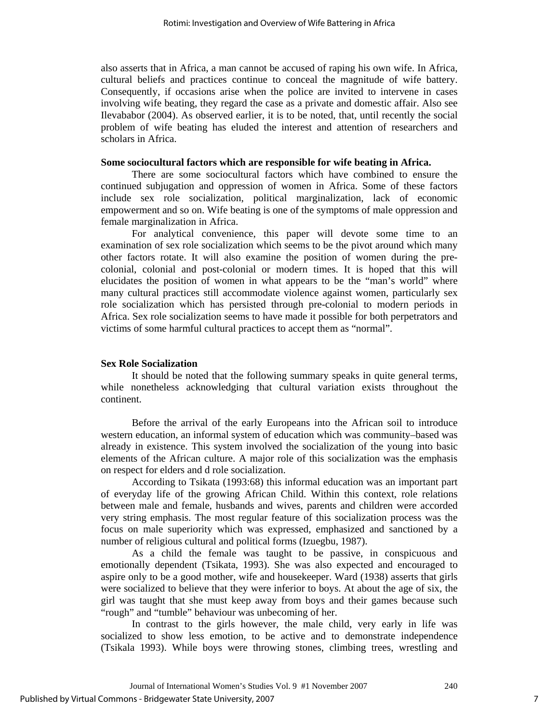also asserts that in Africa, a man cannot be accused of raping his own wife. In Africa, cultural beliefs and practices continue to conceal the magnitude of wife battery. Consequently, if occasions arise when the police are invited to intervene in cases involving wife beating, they regard the case as a private and domestic affair. Also see Ilevababor (2004). As observed earlier, it is to be noted, that, until recently the social problem of wife beating has eluded the interest and attention of researchers and scholars in Africa.

#### **Some sociocultural factors which are responsible for wife beating in Africa.**

 There are some sociocultural factors which have combined to ensure the continued subjugation and oppression of women in Africa. Some of these factors include sex role socialization, political marginalization, lack of economic empowerment and so on. Wife beating is one of the symptoms of male oppression and female marginalization in Africa.

For analytical convenience, this paper will devote some time to an examination of sex role socialization which seems to be the pivot around which many other factors rotate. It will also examine the position of women during the precolonial, colonial and post-colonial or modern times. It is hoped that this will elucidates the position of women in what appears to be the "man's world" where many cultural practices still accommodate violence against women, particularly sex role socialization which has persisted through pre-colonial to modern periods in Africa. Sex role socialization seems to have made it possible for both perpetrators and victims of some harmful cultural practices to accept them as "normal".

#### **Sex Role Socialization**

It should be noted that the following summary speaks in quite general terms, while nonetheless acknowledging that cultural variation exists throughout the continent.

Before the arrival of the early Europeans into the African soil to introduce western education, an informal system of education which was community–based was already in existence. This system involved the socialization of the young into basic elements of the African culture. A major role of this socialization was the emphasis on respect for elders and d role socialization.

 According to Tsikata (1993:68) this informal education was an important part of everyday life of the growing African Child. Within this context, role relations between male and female, husbands and wives, parents and children were accorded very string emphasis. The most regular feature of this socialization process was the focus on male superiority which was expressed, emphasized and sanctioned by a number of religious cultural and political forms (Izuegbu, 1987).

 As a child the female was taught to be passive, in conspicuous and emotionally dependent (Tsikata, 1993). She was also expected and encouraged to aspire only to be a good mother, wife and housekeeper. Ward (1938) asserts that girls were socialized to believe that they were inferior to boys. At about the age of six, the girl was taught that she must keep away from boys and their games because such "rough" and "tumble" behaviour was unbecoming of her.

 In contrast to the girls however, the male child, very early in life was socialized to show less emotion, to be active and to demonstrate independence (Tsikala 1993). While boys were throwing stones, climbing trees, wrestling and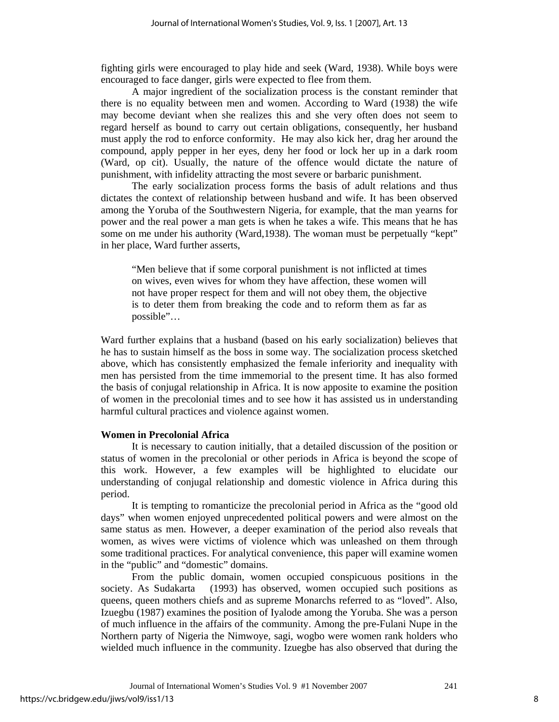fighting girls were encouraged to play hide and seek (Ward, 1938). While boys were encouraged to face danger, girls were expected to flee from them.

 A major ingredient of the socialization process is the constant reminder that there is no equality between men and women. According to Ward (1938) the wife may become deviant when she realizes this and she very often does not seem to regard herself as bound to carry out certain obligations, consequently, her husband must apply the rod to enforce conformity. He may also kick her, drag her around the compound, apply pepper in her eyes, deny her food or lock her up in a dark room (Ward, op cit). Usually, the nature of the offence would dictate the nature of punishment, with infidelity attracting the most severe or barbaric punishment.

 The early socialization process forms the basis of adult relations and thus dictates the context of relationship between husband and wife. It has been observed among the Yoruba of the Southwestern Nigeria, for example, that the man yearns for power and the real power a man gets is when he takes a wife. This means that he has some on me under his authority (Ward,1938). The woman must be perpetually "kept" in her place, Ward further asserts,

"Men believe that if some corporal punishment is not inflicted at times on wives, even wives for whom they have affection, these women will not have proper respect for them and will not obey them, the objective is to deter them from breaking the code and to reform them as far as possible"…

Ward further explains that a husband (based on his early socialization) believes that he has to sustain himself as the boss in some way. The socialization process sketched above, which has consistently emphasized the female inferiority and inequality with men has persisted from the time immemorial to the present time. It has also formed the basis of conjugal relationship in Africa. It is now apposite to examine the position of women in the precolonial times and to see how it has assisted us in understanding harmful cultural practices and violence against women.

## **Women in Precolonial Africa**

 It is necessary to caution initially, that a detailed discussion of the position or status of women in the precolonial or other periods in Africa is beyond the scope of this work. However, a few examples will be highlighted to elucidate our understanding of conjugal relationship and domestic violence in Africa during this period.

 It is tempting to romanticize the precolonial period in Africa as the "good old days" when women enjoyed unprecedented political powers and were almost on the same status as men. However, a deeper examination of the period also reveals that women, as wives were victims of violence which was unleashed on them through some traditional practices. For analytical convenience, this paper will examine women in the "public" and "domestic" domains.

 From the public domain, women occupied conspicuous positions in the society. As Sudakarta (1993) has observed, women occupied such positions as queens, queen mothers chiefs and as supreme Monarchs referred to as "loved". Also, Izuegbu (1987) examines the position of Iyalode among the Yoruba. She was a person of much influence in the affairs of the community. Among the pre-Fulani Nupe in the Northern party of Nigeria the Nimwoye, sagi, wogbo were women rank holders who wielded much influence in the community. Izuegbe has also observed that during the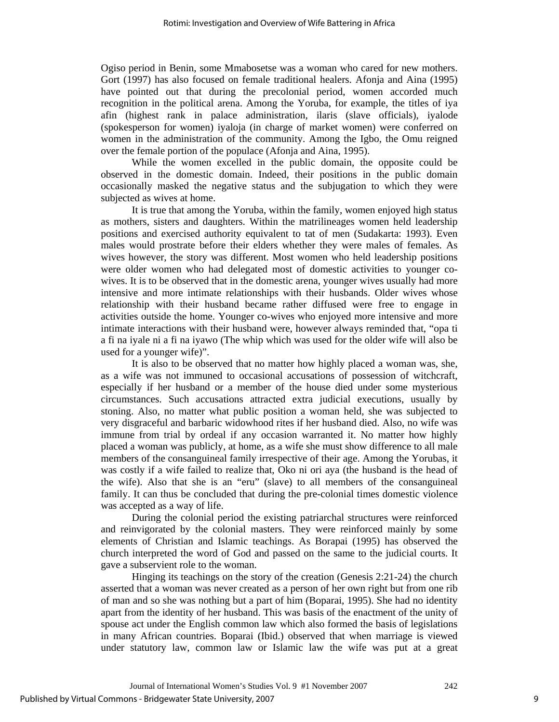Ogiso period in Benin, some Mmabosetse was a woman who cared for new mothers. Gort (1997) has also focused on female traditional healers. Afonja and Aina (1995) have pointed out that during the precolonial period, women accorded much recognition in the political arena. Among the Yoruba, for example, the titles of iya afin (highest rank in palace administration, ilaris (slave officials), iyalode (spokesperson for women) iyaloja (in charge of market women) were conferred on women in the administration of the community. Among the Igbo, the Omu reigned over the female portion of the populace (Afonja and Aina, 1995).

 While the women excelled in the public domain, the opposite could be observed in the domestic domain. Indeed, their positions in the public domain occasionally masked the negative status and the subjugation to which they were subjected as wives at home.

 It is true that among the Yoruba, within the family, women enjoyed high status as mothers, sisters and daughters. Within the matrilineages women held leadership positions and exercised authority equivalent to tat of men (Sudakarta: 1993). Even males would prostrate before their elders whether they were males of females. As wives however, the story was different. Most women who held leadership positions were older women who had delegated most of domestic activities to younger cowives. It is to be observed that in the domestic arena, younger wives usually had more intensive and more intimate relationships with their husbands. Older wives whose relationship with their husband became rather diffused were free to engage in activities outside the home. Younger co-wives who enjoyed more intensive and more intimate interactions with their husband were, however always reminded that, "opa ti a fi na iyale ni a fi na iyawo (The whip which was used for the older wife will also be used for a younger wife)".

It is also to be observed that no matter how highly placed a woman was, she, as a wife was not immuned to occasional accusations of possession of witchcraft, especially if her husband or a member of the house died under some mysterious circumstances. Such accusations attracted extra judicial executions, usually by stoning. Also, no matter what public position a woman held, she was subjected to very disgraceful and barbaric widowhood rites if her husband died. Also, no wife was immune from trial by ordeal if any occasion warranted it. No matter how highly placed a woman was publicly, at home, as a wife she must show difference to all male members of the consanguineal family irrespective of their age. Among the Yorubas, it was costly if a wife failed to realize that, Oko ni ori aya (the husband is the head of the wife). Also that she is an "eru" (slave) to all members of the consanguineal family. It can thus be concluded that during the pre-colonial times domestic violence was accepted as a way of life.

During the colonial period the existing patriarchal structures were reinforced and reinvigorated by the colonial masters. They were reinforced mainly by some elements of Christian and Islamic teachings. As Borapai (1995) has observed the church interpreted the word of God and passed on the same to the judicial courts. It gave a subservient role to the woman.

Hinging its teachings on the story of the creation (Genesis 2:21-24) the church asserted that a woman was never created as a person of her own right but from one rib of man and so she was nothing but a part of him (Boparai, 1995). She had no identity apart from the identity of her husband. This was basis of the enactment of the unity of spouse act under the English common law which also formed the basis of legislations in many African countries. Boparai (Ibid.) observed that when marriage is viewed under statutory law, common law or Islamic law the wife was put at a great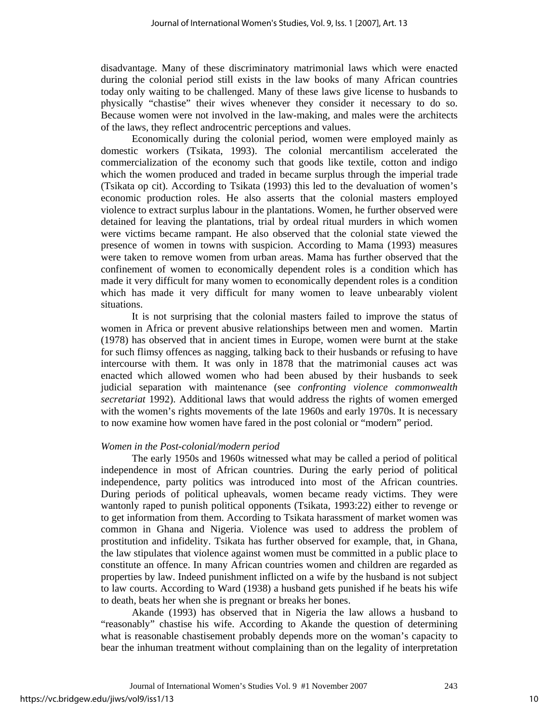disadvantage. Many of these discriminatory matrimonial laws which were enacted during the colonial period still exists in the law books of many African countries today only waiting to be challenged. Many of these laws give license to husbands to physically "chastise" their wives whenever they consider it necessary to do so. Because women were not involved in the law-making, and males were the architects of the laws, they reflect androcentric perceptions and values.

Economically during the colonial period, women were employed mainly as domestic workers (Tsikata, 1993). The colonial mercantilism accelerated the commercialization of the economy such that goods like textile, cotton and indigo which the women produced and traded in became surplus through the imperial trade (Tsikata op cit). According to Tsikata (1993) this led to the devaluation of women's economic production roles. He also asserts that the colonial masters employed violence to extract surplus labour in the plantations. Women, he further observed were detained for leaving the plantations, trial by ordeal ritual murders in which women were victims became rampant. He also observed that the colonial state viewed the presence of women in towns with suspicion. According to Mama (1993) measures were taken to remove women from urban areas. Mama has further observed that the confinement of women to economically dependent roles is a condition which has made it very difficult for many women to economically dependent roles is a condition which has made it very difficult for many women to leave unbearably violent situations.

It is not surprising that the colonial masters failed to improve the status of women in Africa or prevent abusive relationships between men and women. Martin (1978) has observed that in ancient times in Europe, women were burnt at the stake for such flimsy offences as nagging, talking back to their husbands or refusing to have intercourse with them. It was only in 1878 that the matrimonial causes act was enacted which allowed women who had been abused by their husbands to seek judicial separation with maintenance (see *confronting violence commonwealth secretariat* 1992). Additional laws that would address the rights of women emerged with the women's rights movements of the late 1960s and early 1970s. It is necessary to now examine how women have fared in the post colonial or "modern" period.

#### *Women in the Post-colonial/modern period*

The early 1950s and 1960s witnessed what may be called a period of political independence in most of African countries. During the early period of political independence, party politics was introduced into most of the African countries. During periods of political upheavals, women became ready victims. They were wantonly raped to punish political opponents (Tsikata, 1993:22) either to revenge or to get information from them. According to Tsikata harassment of market women was common in Ghana and Nigeria. Violence was used to address the problem of prostitution and infidelity. Tsikata has further observed for example, that, in Ghana, the law stipulates that violence against women must be committed in a public place to constitute an offence. In many African countries women and children are regarded as properties by law. Indeed punishment inflicted on a wife by the husband is not subject to law courts. According to Ward (1938) a husband gets punished if he beats his wife to death, beats her when she is pregnant or breaks her bones.

Akande (1993) has observed that in Nigeria the law allows a husband to "reasonably" chastise his wife. According to Akande the question of determining what is reasonable chastisement probably depends more on the woman's capacity to bear the inhuman treatment without complaining than on the legality of interpretation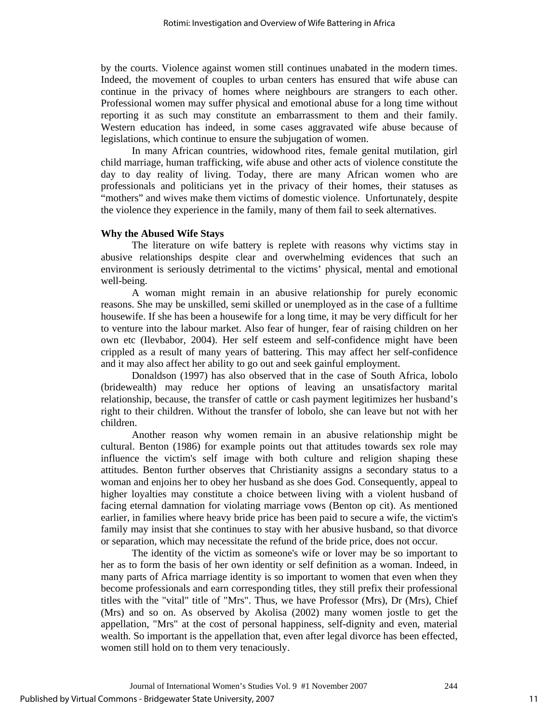by the courts. Violence against women still continues unabated in the modern times. Indeed, the movement of couples to urban centers has ensured that wife abuse can continue in the privacy of homes where neighbours are strangers to each other. Professional women may suffer physical and emotional abuse for a long time without reporting it as such may constitute an embarrassment to them and their family. Western education has indeed, in some cases aggravated wife abuse because of legislations, which continue to ensure the subjugation of women.

In many African countries, widowhood rites, female genital mutilation, girl child marriage, human trafficking, wife abuse and other acts of violence constitute the day to day reality of living. Today, there are many African women who are professionals and politicians yet in the privacy of their homes, their statuses as "mothers" and wives make them victims of domestic violence. Unfortunately, despite the violence they experience in the family, many of them fail to seek alternatives.

#### **Why the Abused Wife Stays**

The literature on wife battery is replete with reasons why victims stay in abusive relationships despite clear and overwhelming evidences that such an environment is seriously detrimental to the victims' physical, mental and emotional well-being.

A woman might remain in an abusive relationship for purely economic reasons. She may be unskilled, semi skilled or unemployed as in the case of a fulltime housewife. If she has been a housewife for a long time, it may be very difficult for her to venture into the labour market. Also fear of hunger, fear of raising children on her own etc (Ilevbabor, 2004). Her self esteem and self-confidence might have been crippled as a result of many years of battering. This may affect her self-confidence and it may also affect her ability to go out and seek gainful employment.

Donaldson (1997) has also observed that in the case of South Africa, lobolo (bridewealth) may reduce her options of leaving an unsatisfactory marital relationship, because, the transfer of cattle or cash payment legitimizes her husband's right to their children. Without the transfer of lobolo, she can leave but not with her children.

Another reason why women remain in an abusive relationship might be cultural. Benton (1986) for example points out that attitudes towards sex role may influence the victim's self image with both culture and religion shaping these attitudes. Benton further observes that Christianity assigns a secondary status to a woman and enjoins her to obey her husband as she does God. Consequently, appeal to higher loyalties may constitute a choice between living with a violent husband of facing eternal damnation for violating marriage vows (Benton op cit). As mentioned earlier, in families where heavy bride price has been paid to secure a wife, the victim's family may insist that she continues to stay with her abusive husband, so that divorce or separation, which may necessitate the refund of the bride price, does not occur.

The identity of the victim as someone's wife or lover may be so important to her as to form the basis of her own identity or self definition as a woman. Indeed, in many parts of Africa marriage identity is so important to women that even when they become professionals and earn corresponding titles, they still prefix their professional titles with the "vital" title of "Mrs". Thus, we have Professor (Mrs), Dr (Mrs), Chief (Mrs) and so on. As observed by Akolisa (2002) many women jostle to get the appellation, "Mrs" at the cost of personal happiness, self-dignity and even, material wealth. So important is the appellation that, even after legal divorce has been effected, women still hold on to them very tenaciously.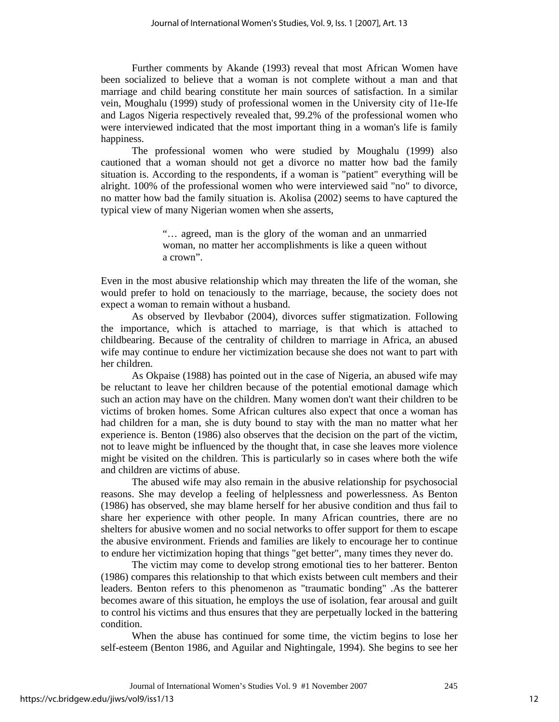Further comments by Akande (1993) reveal that most African Women have been socialized to believe that a woman is not complete without a man and that marriage and child bearing constitute her main sources of satisfaction. In a similar vein, Moughalu (1999) study of professional women in the University city of l1e-Ife and Lagos Nigeria respectively revealed that, 99.2% of the professional women who were interviewed indicated that the most important thing in a woman's life is family happiness.

The professional women who were studied by Moughalu (1999) also cautioned that a woman should not get a divorce no matter how bad the family situation is. According to the respondents, if a woman is "patient" everything will be alright. 100% of the professional women who were interviewed said "no" to divorce, no matter how bad the family situation is. Akolisa (2002) seems to have captured the typical view of many Nigerian women when she asserts,

> "… agreed, man is the glory of the woman and an unmarried woman, no matter her accomplishments is like a queen without a crown".

Even in the most abusive relationship which may threaten the life of the woman, she would prefer to hold on tenaciously to the marriage, because, the society does not expect a woman to remain without a husband.

As observed by Ilevbabor (2004), divorces suffer stigmatization. Following the importance, which is attached to marriage, is that which is attached to childbearing. Because of the centrality of children to marriage in Africa, an abused wife may continue to endure her victimization because she does not want to part with her children.

As Okpaise (1988) has pointed out in the case of Nigeria, an abused wife may be reluctant to leave her children because of the potential emotional damage which such an action may have on the children. Many women don't want their children to be victims of broken homes. Some African cultures also expect that once a woman has had children for a man, she is duty bound to stay with the man no matter what her experience is. Benton (1986) also observes that the decision on the part of the victim, not to leave might be influenced by the thought that, in case she leaves more violence might be visited on the children. This is particularly so in cases where both the wife and children are victims of abuse.

The abused wife may also remain in the abusive relationship for psychosocial reasons. She may develop a feeling of helplessness and powerlessness. As Benton (1986) has observed, she may blame herself for her abusive condition and thus fail to share her experience with other people. In many African countries, there are no shelters for abusive women and no social networks to offer support for them to escape the abusive environment. Friends and families are likely to encourage her to continue to endure her victimization hoping that things "get better", many times they never do.

The victim may come to develop strong emotional ties to her batterer. Benton (1986) compares this relationship to that which exists between cult members and their leaders. Benton refers to this phenomenon as "traumatic bonding" .As the batterer becomes aware of this situation, he employs the use of isolation, fear arousal and guilt to control his victims and thus ensures that they are perpetually locked in the battering condition.

When the abuse has continued for some time, the victim begins to lose her self-esteem (Benton 1986, and Aguilar and Nightingale, 1994). She begins to see her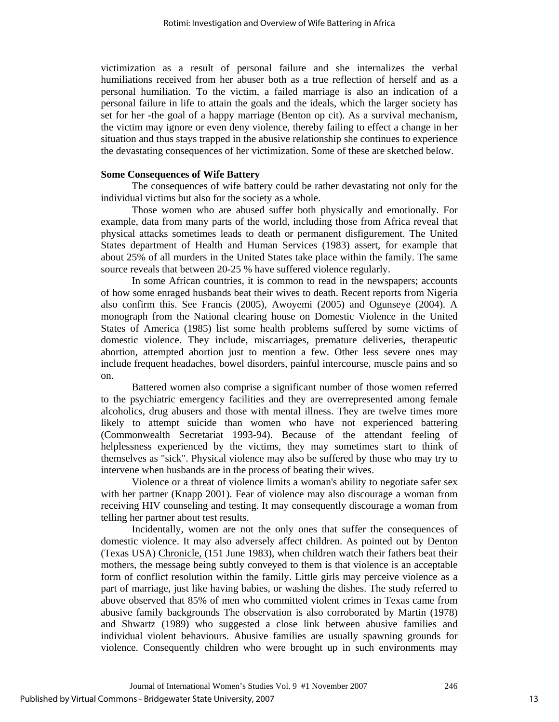victimization as a result of personal failure and she internalizes the verbal humiliations received from her abuser both as a true reflection of herself and as a personal humiliation. To the victim, a failed marriage is also an indication of a personal failure in life to attain the goals and the ideals, which the larger society has set for her -the goal of a happy marriage (Benton op cit). As a survival mechanism, the victim may ignore or even deny violence, thereby failing to effect a change in her situation and thus stays trapped in the abusive relationship she continues to experience the devastating consequences of her victimization. Some of these are sketched below.

#### **Some Consequences of Wife Battery**

 The consequences of wife battery could be rather devastating not only for the individual victims but also for the society as a whole.

Those women who are abused suffer both physically and emotionally. For example, data from many parts of the world, including those from Africa reveal that physical attacks sometimes leads to death or permanent disfigurement. The United States department of Health and Human Services (1983) assert, for example that about 25% of all murders in the United States take place within the family. The same source reveals that between 20-25 % have suffered violence regularly.

In some African countries, it is common to read in the newspapers; accounts of how some enraged husbands beat their wives to death. Recent reports from Nigeria also confirm this. See Francis (2005), Awoyemi (2005) and Ogunseye (2004). A monograph from the National clearing house on Domestic Violence in the United States of America (1985) list some health problems suffered by some victims of domestic violence. They include, miscarriages, premature deliveries, therapeutic abortion, attempted abortion just to mention a few. Other less severe ones may include frequent headaches, bowel disorders, painful intercourse, muscle pains and so on.

Battered women also comprise a significant number of those women referred to the psychiatric emergency facilities and they are overrepresented among female alcoholics, drug abusers and those with mental illness. They are twelve times more likely to attempt suicide than women who have not experienced battering (Commonwealth Secretariat 1993-94). Because of the attendant feeling of helplessness experienced by the victims, they may sometimes start to think of themselves as "sick". Physical violence may also be suffered by those who may try to intervene when husbands are in the process of beating their wives.

Violence or a threat of violence limits a woman's ability to negotiate safer sex with her partner (Knapp 2001). Fear of violence may also discourage a woman from receiving HIV counseling and testing. It may consequently discourage a woman from telling her partner about test results.

Incidentally, women are not the only ones that suffer the consequences of domestic violence. It may also adversely affect children. As pointed out by **Denton** (Texas USA) Chronicle, (151 June 1983), when children watch their fathers beat their mothers, the message being subtly conveyed to them is that violence is an acceptable form of conflict resolution within the family. Little girls may perceive violence as a part of marriage, just like having babies, or washing the dishes. The study referred to above observed that 85% of men who committed violent crimes in Texas came from abusive family backgrounds The observation is also corroborated by Martin (1978) and Shwartz (1989) who suggested a close link between abusive families and individual violent behaviours. Abusive families are usually spawning grounds for violence. Consequently children who were brought up in such environments may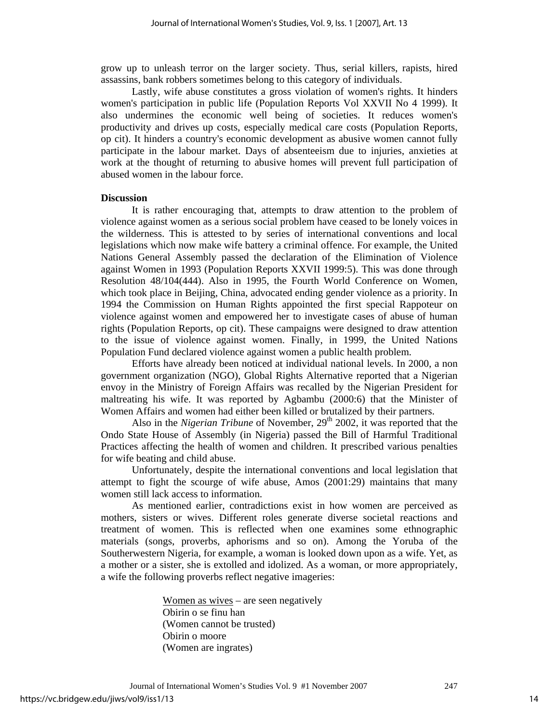grow up to unleash terror on the larger society. Thus, serial killers, rapists, hired assassins, bank robbers sometimes belong to this category of individuals.

Lastly, wife abuse constitutes a gross violation of women's rights. It hinders women's participation in public life (Population Reports Vol XXVII No 4 1999). It also undermines the economic well being of societies. It reduces women's productivity and drives up costs, especially medical care costs (Population Reports, op cit). It hinders a country's economic development as abusive women cannot fully participate in the labour market. Days of absenteeism due to injuries, anxieties at work at the thought of returning to abusive homes will prevent full participation of abused women in the labour force.

#### **Discussion**

It is rather encouraging that, attempts to draw attention to the problem of violence against women as a serious social problem have ceased to be lonely voices in the wilderness. This is attested to by series of international conventions and local legislations which now make wife battery a criminal offence. For example, the United Nations General Assembly passed the declaration of the Elimination of Violence against Women in 1993 (Population Reports XXVII 1999:5). This was done through Resolution 48/104(444). Also in 1995, the Fourth World Conference on Women, which took place in Beijing, China, advocated ending gender violence as a priority. In 1994 the Commission on Human Rights appointed the first special Rappoteur on violence against women and empowered her to investigate cases of abuse of human rights (Population Reports, op cit). These campaigns were designed to draw attention to the issue of violence against women. Finally, in 1999, the United Nations Population Fund declared violence against women a public health problem.

Efforts have already been noticed at individual national levels. In 2000, a non government organization (NGO), Global Rights Alternative reported that a Nigerian envoy in the Ministry of Foreign Affairs was recalled by the Nigerian President for maltreating his wife. It was reported by Agbambu (2000:6) that the Minister of Women Affairs and women had either been killed or brutalized by their partners.

Also in the *Nigerian Tribune* of November, 29<sup>th</sup> 2002, it was reported that the Ondo State House of Assembly (in Nigeria) passed the Bill of Harmful Traditional Practices affecting the health of women and children. It prescribed various penalties for wife beating and child abuse.

Unfortunately, despite the international conventions and local legislation that attempt to fight the scourge of wife abuse, Amos (2001:29) maintains that many women still lack access to information.

As mentioned earlier, contradictions exist in how women are perceived as mothers, sisters or wives. Different roles generate diverse societal reactions and treatment of women. This is reflected when one examines some ethnographic materials (songs, proverbs, aphorisms and so on). Among the Yoruba of the Southerwestern Nigeria, for example, a woman is looked down upon as a wife. Yet, as a mother or a sister, she is extolled and idolized. As a woman, or more appropriately, a wife the following proverbs reflect negative imageries:

> Women as wives – are seen negatively Obirin o se finu han (Women cannot be trusted) Obirin o moore (Women are ingrates)

Journal of International Women's Studies Vol. 9 #1 November 2007 247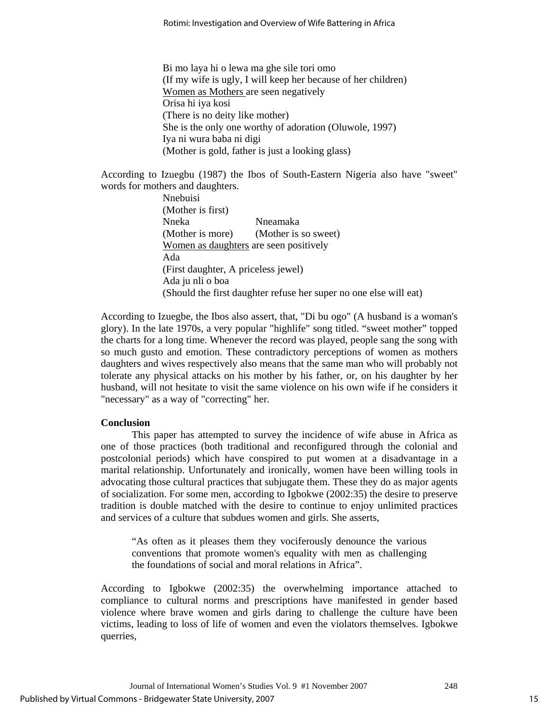Bi mo laya hi o lewa ma ghe sile tori omo (If my wife is ugly, I will keep her because of her children) Women as Mothers are seen negatively Orisa hi iya kosi (There is no deity like mother) She is the only one worthy of adoration (Oluwole, 1997) Iya ni wura baba ni digi (Mother is gold, father is just a looking glass)

According to Izuegbu (1987) the Ibos of South-Eastern Nigeria also have "sweet" words for mothers and daughters.

> Nnebuisi (Mother is first) Nneka Nneamaka (Mother is more) (Mother is so sweet) Women as daughters are seen positively Ada (First daughter, A priceless jewel) Ada ju nli o boa (Should the first daughter refuse her super no one else will eat)

According to Izuegbe, the Ibos also assert, that, "Di bu ogo" (A husband is a woman's glory). In the late 1970s, a very popular "highlife" song titled. "sweet mother" topped the charts for a long time. Whenever the record was played, people sang the song with so much gusto and emotion. These contradictory perceptions of women as mothers daughters and wives respectively also means that the same man who will probably not tolerate any physical attacks on his mother by his father, or, on his daughter by her husband, will not hesitate to visit the same violence on his own wife if he considers it "necessary" as a way of "correcting" her.

## **Conclusion**

This paper has attempted to survey the incidence of wife abuse in Africa as one of those practices (both traditional and reconfigured through the colonial and postcolonial periods) which have conspired to put women at a disadvantage in a marital relationship. Unfortunately and ironically, women have been willing tools in advocating those cultural practices that subjugate them. These they do as major agents of socialization. For some men, according to Igbokwe (2002:35) the desire to preserve tradition is double matched with the desire to continue to enjoy unlimited practices and services of a culture that subdues women and girls. She asserts,

"As often as it pleases them they vociferously denounce the various conventions that promote women's equality with men as challenging the foundations of social and moral relations in Africa".

According to Igbokwe (2002:35) the overwhelming importance attached to compliance to cultural norms and prescriptions have manifested in gender based violence where brave women and girls daring to challenge the culture have been victims, leading to loss of life of women and even the violators themselves. Igbokwe querries,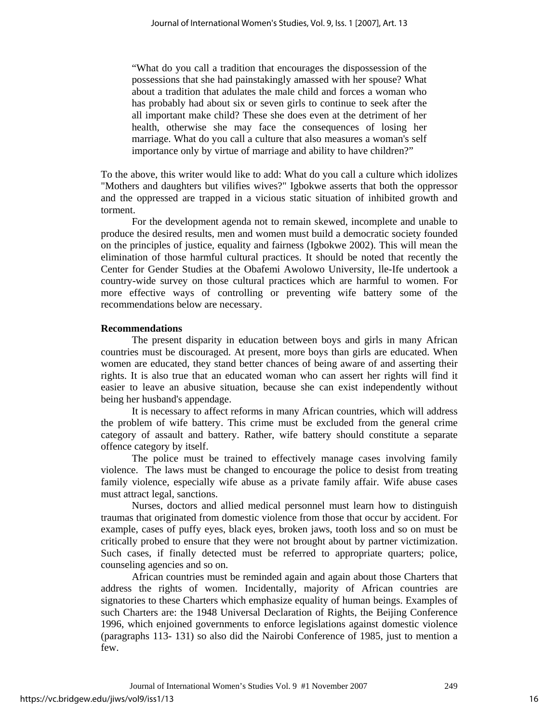"What do you call a tradition that encourages the dispossession of the possessions that she had painstakingly amassed with her spouse? What about a tradition that adulates the male child and forces a woman who has probably had about six or seven girls to continue to seek after the all important make child? These she does even at the detriment of her health, otherwise she may face the consequences of losing her marriage. What do you call a culture that also measures a woman's self importance only by virtue of marriage and ability to have children?"

To the above, this writer would like to add: What do you call a culture which idolizes "Mothers and daughters but vilifies wives?" Igbokwe asserts that both the oppressor and the oppressed are trapped in a vicious static situation of inhibited growth and torment.

For the development agenda not to remain skewed, incomplete and unable to produce the desired results, men and women must build a democratic society founded on the principles of justice, equality and fairness (Igbokwe 2002). This will mean the elimination of those harmful cultural practices. It should be noted that recently the Center for Gender Studies at the Obafemi Awolowo University, lle-Ife undertook a country-wide survey on those cultural practices which are harmful to women. For more effective ways of controlling or preventing wife battery some of the recommendations below are necessary.

#### **Recommendations**

The present disparity in education between boys and girls in many African countries must be discouraged. At present, more boys than girls are educated. When women are educated, they stand better chances of being aware of and asserting their rights. It is also true that an educated woman who can assert her rights will find it easier to leave an abusive situation, because she can exist independently without being her husband's appendage.

It is necessary to affect reforms in many African countries, which will address the problem of wife battery. This crime must be excluded from the general crime category of assault and battery. Rather, wife battery should constitute a separate offence category by itself.

The police must be trained to effectively manage cases involving family violence. The laws must be changed to encourage the police to desist from treating family violence, especially wife abuse as a private family affair. Wife abuse cases must attract legal, sanctions.

Nurses, doctors and allied medical personnel must learn how to distinguish traumas that originated from domestic violence from those that occur by accident. For example, cases of puffy eyes, black eyes, broken jaws, tooth loss and so on must be critically probed to ensure that they were not brought about by partner victimization. Such cases, if finally detected must be referred to appropriate quarters; police, counseling agencies and so on.

African countries must be reminded again and again about those Charters that address the rights of women. Incidentally, majority of African countries are signatories to these Charters which emphasize equality of human beings. Examples of such Charters are: the 1948 Universal Declaration of Rights, the Beijing Conference 1996, which enjoined governments to enforce legislations against domestic violence (paragraphs 113- 131) so also did the Nairobi Conference of 1985, just to mention a few.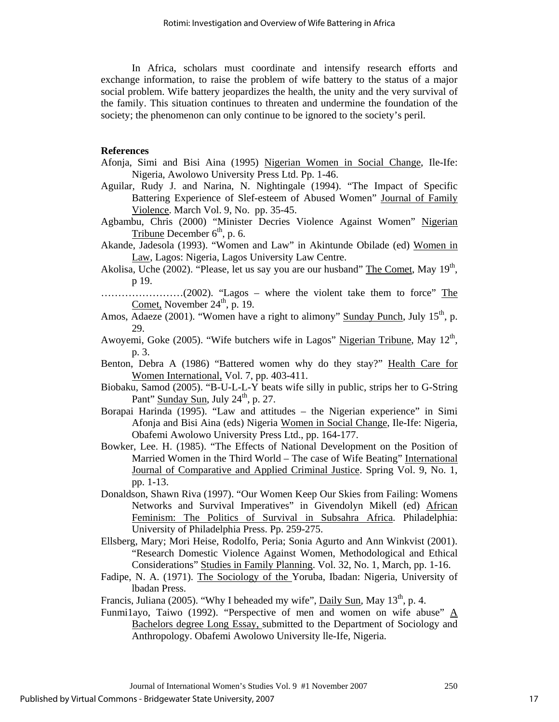In Africa, scholars must coordinate and intensify research efforts and exchange information, to raise the problem of wife battery to the status of a major social problem. Wife battery jeopardizes the health, the unity and the very survival of the family. This situation continues to threaten and undermine the foundation of the society; the phenomenon can only continue to be ignored to the society's peril.

#### **References**

- Afonja, Simi and Bisi Aina (1995) Nigerian Women in Social Change, Ile-Ife: Nigeria, Awolowo University Press Ltd. Pp. 1-46.
- Aguilar, Rudy J. and Narina, N. Nightingale (1994). "The Impact of Specific Battering Experience of Slef-esteem of Abused Women" Journal of Family Violence. March Vol. 9, No. pp. 35-45.
- Agbambu, Chris (2000) "Minister Decries Violence Against Women" Nigerian Tribune December  $6<sup>th</sup>$ , p. 6.
- Akande, Jadesola (1993). "Women and Law" in Akintunde Obilade (ed) Women in Law, Lagos: Nigeria, Lagos University Law Centre.
- Akolisa, Uche (2002). "Please, let us say you are our husband" The Comet, May 19<sup>th</sup>, p 19.
- ……………………(2002). "Lagos where the violent take them to force" The Comet, November  $24<sup>th</sup>$ , p. 19.
- Amos, Adaeze (2001). "Women have a right to alimony" Sunday Punch, July  $15<sup>th</sup>$ , p. 29.
- Awoyemi, Goke (2005). "Wife butchers wife in Lagos" Nigerian Tribune, May  $12<sup>th</sup>$ , p. 3.
- Benton, Debra A (1986) "Battered women why do they stay?" Health Care for Women International, Vol. 7, pp. 403-411.
- Biobaku, Samod (2005). "B-U-L-L-Y beats wife silly in public, strips her to G-String Pant" Sunday Sun, July 24<sup>th</sup>, p. 27.
- Borapai Harinda (1995). "Law and attitudes the Nigerian experience" in Simi Afonja and Bisi Aina (eds) Nigeria Women in Social Change, Ile-Ife: Nigeria, Obafemi Awolowo University Press Ltd., pp. 164-177.
- Bowker, Lee. H. (1985). "The Effects of National Development on the Position of Married Women in the Third World - The case of Wife Beating" International Journal of Comparative and Applied Criminal Justice. Spring Vol. 9, No. 1, pp. 1-13.
- Donaldson, Shawn Riva (1997). "Our Women Keep Our Skies from Failing: Womens Networks and Survival Imperatives" in Givendolyn Mikell (ed) African Feminism: The Politics of Survival in Subsahra Africa. Philadelphia: University of Philadelphia Press. Pp. 259-275.
- Ellsberg, Mary; Mori Heise, Rodolfo, Peria; Sonia Agurto and Ann Winkvist (2001). "Research Domestic Violence Against Women, Methodological and Ethical Considerations" Studies in Family Planning. Vol. 32, No. 1, March, pp. 1-16.
- Fadipe, N. A. (1971). The Sociology of the Yoruba, Ibadan: Nigeria, University of lbadan Press.

Francis, Juliana (2005). "Why I beheaded my wife",  $Daily Sun$ , May  $13<sup>th</sup>$ , p. 4.

Funmi1ayo, Taiwo (1992). "Perspective of men and women on wife abuse" A Bachelors degree Long Essay, submitted to the Department of Sociology and Anthropology. Obafemi Awolowo University lle-Ife, Nigeria.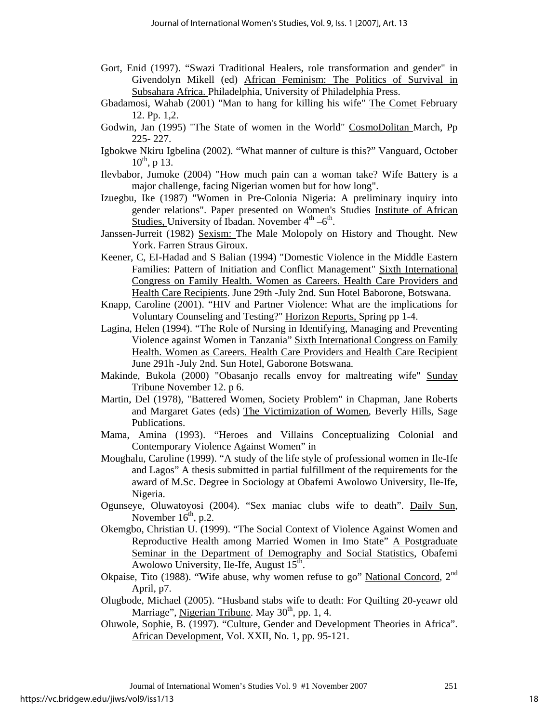- Gort, Enid (1997). "Swazi Traditional Healers, role transformation and gender" in Givendolyn Mikell (ed) African Feminism: The Politics of Survival in Subsahara Africa. Philadelphia, University of Philadelphia Press.
- Gbadamosi, Wahab (2001) "Man to hang for killing his wife" The Comet February 12. Pp. 1,2.
- Godwin, Jan (1995) "The State of women in the World" CosmoDolitan March, Pp 225- 227.
- Igbokwe Nkiru Igbelina (2002). "What manner of culture is this?" Vanguard, October  $10^{th}$ , p 13.
- Ilevbabor, Jumoke (2004) "How much pain can a woman take? Wife Battery is a major challenge, facing Nigerian women but for how long".
- Izuegbu, Ike (1987) "Women in Pre-Colonia Nigeria: A preliminary inquiry into gender relations". Paper presented on Women's Studies Institute of African Studies, University of Ibadan. November  $4^{th} -6^{th}$ .
- Janssen-Jurreit (1982) Sexism: The Male Molopoly on History and Thought. New York. Farren Straus Giroux.
- Keener, C, EI-Hadad and S Balian (1994) "Domestic Violence in the Middle Eastern Families: Pattern of Initiation and Conflict Management" Sixth International Congress on Family Health. Women as Careers. Health Care Providers and Health Care Recipients. June 29th -July 2nd. Sun Hotel Baborone, Botswana.
- Knapp, Caroline (2001). "HIV and Partner Violence: What are the implications for Voluntary Counseling and Testing?" Horizon Reports, Spring pp 1-4.
- Lagina, Helen (1994). "The Role of Nursing in Identifying, Managing and Preventing Violence against Women in Tanzania" Sixth International Congress on Family Health. Women as Careers. Health Care Providers and Health Care Recipient June 291h -July 2nd. Sun Hotel, Gaborone Botswana.
- Makinde, Bukola (2000) "Obasanjo recalls envoy for maltreating wife" Sunday Tribune November 12. p 6.
- Martin, Del (1978), "Battered Women, Society Problem" in Chapman, Jane Roberts and Margaret Gates (eds) The Victimization of Women, Beverly Hills, Sage Publications.
- Mama, Amina (1993). "Heroes and Villains Conceptualizing Colonial and Contemporary Violence Against Women" in
- Moughalu, Caroline (1999). "A study of the life style of professional women in Ile-Ife and Lagos" A thesis submitted in partial fulfillment of the requirements for the award of M.Sc. Degree in Sociology at Obafemi Awolowo University, Ile-Ife, Nigeria.
- Ogunseye, Oluwatoyosi (2004). "Sex maniac clubs wife to death". Daily Sun, November  $16<sup>th</sup>$ , p.2.
- Okemgbo, Christian U. (1999). "The Social Context of Violence Against Women and Reproductive Health among Married Women in Imo State" A Postgraduate Seminar in the Department of Demography and Social Statistics, Obafemi Awolowo University, Ile-Ife, August  $15<sup>th</sup>$ .
- Okpaise, Tito (1988). "Wife abuse, why women refuse to go" National Concord, 2<sup>nd</sup> April, p7.
- Olugbode, Michael (2005). "Husband stabs wife to death: For Quilting 20-yeawr old Marriage", Nigerian Tribune. May  $30<sup>th</sup>$ , pp. 1, 4.
- Oluwole, Sophie, B. (1997). "Culture, Gender and Development Theories in Africa". African Development, Vol. XXII, No. 1, pp. 95-121.